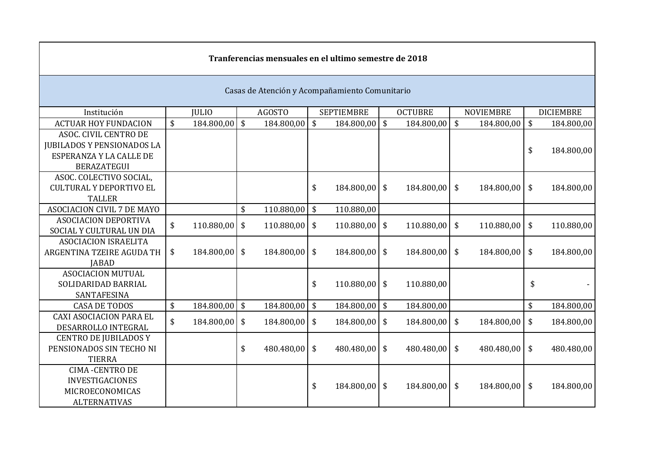|                                                |    |               |               |               |    | Tranferencias mensuales en el ultimo semestre de 2018 |    |                |                         |                  |                            |                  |  |
|------------------------------------------------|----|---------------|---------------|---------------|----|-------------------------------------------------------|----|----------------|-------------------------|------------------|----------------------------|------------------|--|
| Casas de Atención y Acompañamiento Comunitario |    |               |               |               |    |                                                       |    |                |                         |                  |                            |                  |  |
| Institución                                    |    | <b>JULIO</b>  |               | <b>AGOSTO</b> |    | <b>SEPTIEMBRE</b>                                     |    | <b>OCTUBRE</b> |                         | <b>NOVIEMBRE</b> |                            | <b>DICIEMBRE</b> |  |
| <b>ACTUAR HOY FUNDACION</b>                    | \$ | 184.800,00 \$ |               | 184.800,00    | \$ | $184.800,00$ \$                                       |    | 184.800,00     | $\sqrt[6]{\frac{1}{2}}$ | 184.800,00       | $\sqrt$                    | 184.800,00       |  |
| ASOC. CIVIL CENTRO DE                          |    |               |               |               |    |                                                       |    |                |                         |                  |                            |                  |  |
| <b>JUBILADOS Y PENSIONADOS LA</b>              |    |               |               |               |    |                                                       |    |                |                         |                  | \$                         | 184.800,00       |  |
| ESPERANZA Y LA CALLE DE                        |    |               |               |               |    |                                                       |    |                |                         |                  |                            |                  |  |
| <b>BERAZATEGUI</b>                             |    |               |               |               |    |                                                       |    |                |                         |                  |                            |                  |  |
| ASOC. COLECTIVO SOCIAL,                        |    |               |               |               |    |                                                       |    |                |                         |                  |                            |                  |  |
| <b>CULTURAL Y DEPORTIVO EL</b>                 |    |               |               |               | \$ | 184.800,00 \$                                         |    | 184.800,00     | $\sqrt{5}$              | 184.800,00       | \$                         | 184.800,00       |  |
| <b>TALLER</b>                                  |    |               |               |               |    |                                                       |    |                |                         |                  |                            |                  |  |
| <b>ASOCIACION CIVIL 7 DE MAYO</b>              |    |               | \$            | 110.880,00    | \$ | 110.880,00                                            |    |                |                         |                  |                            |                  |  |
| <b>ASOCIACION DEPORTIVA</b>                    | \$ | 110.880,00    | \$            | 110.880,00    | \$ | 110.880,00                                            | \$ | 110.880,00     | $\frac{1}{2}$           | 110.880,00       | \$                         | 110.880,00       |  |
| SOCIAL Y CULTURAL UN DIA                       |    |               |               |               |    |                                                       |    |                |                         |                  |                            |                  |  |
| <b>ASOCIACION ISRAELITA</b>                    |    |               |               |               |    |                                                       |    |                |                         |                  |                            |                  |  |
| ARGENTINA TZEIRE AGUDA TH                      | \$ | 184.800,00 \$ |               | 184.800,00 \$ |    | 184.800,00 \$                                         |    | 184.800,00     | $\sqrt[6]{\frac{1}{2}}$ | 184.800,00       | $\boldsymbol{\mathsf{\$}}$ | 184.800,00       |  |
| <b>JABAD</b>                                   |    |               |               |               |    |                                                       |    |                |                         |                  |                            |                  |  |
| <b>ASOCIACION MUTUAL</b>                       |    |               |               |               |    |                                                       |    |                |                         |                  |                            |                  |  |
| SOLIDARIDAD BARRIAL                            |    |               |               |               | \$ | $110.880,00$ \$                                       |    | 110.880,00     |                         |                  | \$                         |                  |  |
| SANTAFESINA                                    |    |               |               |               |    |                                                       |    |                |                         |                  |                            |                  |  |
| <b>CASA DE TODOS</b>                           | \$ | 184.800,00    | $\sqrt[6]{3}$ | 184.800,00    | \$ | 184.800,00                                            | \$ | 184.800,00     |                         |                  | \$                         | 184.800,00       |  |
| <b>CAXI ASOCIACION PARA EL</b>                 | \$ | 184.800,00    | \$            | 184.800,00    | \$ | $184.800,00$ \$                                       |    | 184.800,00     | $\sqrt[6]{\frac{1}{2}}$ | 184.800,00       | \$                         | 184.800,00       |  |
| DESARROLLO INTEGRAL                            |    |               |               |               |    |                                                       |    |                |                         |                  |                            |                  |  |
| <b>CENTRO DE JUBILADOS Y</b>                   |    |               |               |               |    |                                                       |    |                |                         |                  |                            |                  |  |
| PENSIONADOS SIN TECHO NI                       |    |               | \$            | 480.480,00 \$ |    | 480.480,00 \$                                         |    | 480.480,00     | $\sqrt[6]{\frac{1}{2}}$ | 480.480,00       | $\frac{1}{2}$              | 480.480,00       |  |
| <b>TIERRA</b>                                  |    |               |               |               |    |                                                       |    |                |                         |                  |                            |                  |  |
| <b>CIMA-CENTRO DE</b>                          |    |               |               |               |    |                                                       |    |                |                         |                  |                            |                  |  |
| <b>INVESTIGACIONES</b>                         |    |               |               |               | \$ | 184.800,00 \$                                         |    | 184.800,00 \$  |                         | 184.800,00       | \$                         | 184.800,00       |  |
| MICROECONOMICAS                                |    |               |               |               |    |                                                       |    |                |                         |                  |                            |                  |  |
| <b>ALTERNATIVAS</b>                            |    |               |               |               |    |                                                       |    |                |                         |                  |                            |                  |  |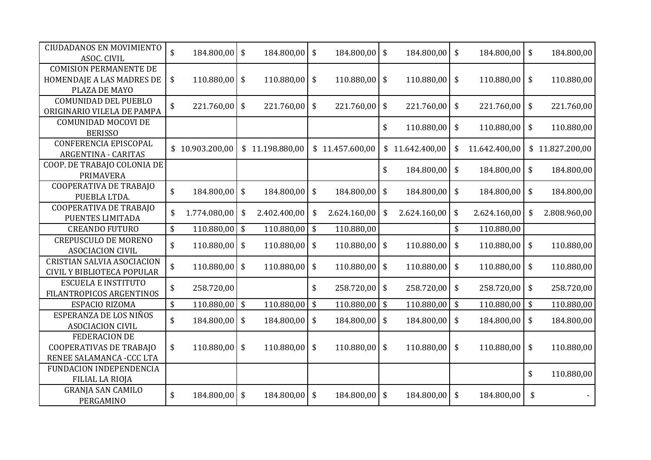| <b>CIUDADANOS EN MOVIMIENTO</b><br>ASOC. CIVIL | $\mathsf{\$}$ | 184.800,00      | \$<br>184.800,00      | $\sqrt[6]{\frac{1}{2}}$   | 184.800,00      | \$                         | 184.800,00      | \$<br>184.800,00    | $\sqrt{5}$              | 184.800,00      |
|------------------------------------------------|---------------|-----------------|-----------------------|---------------------------|-----------------|----------------------------|-----------------|---------------------|-------------------------|-----------------|
|                                                |               |                 |                       |                           |                 |                            |                 |                     |                         |                 |
| <b>COMISION PERMANENTE DE</b>                  |               |                 |                       |                           |                 |                            |                 |                     |                         |                 |
| HOMENDAJE A LAS MADRES DE                      | \$            | 110.880,00      | \$<br>$110.880,00$ \$ |                           | 110.880,00      | \$                         | 110.880,00      | \$<br>110.880,00    | $\mathfrak{F}$          | 110.880,00      |
| PLAZA DE MAYO                                  |               |                 |                       |                           |                 |                            |                 |                     |                         |                 |
| <b>COMUNIDAD DEL PUEBLO</b>                    | \$            | 221.760,00      | \$<br>$221.760,00$ \$ |                           | 221.760,00      | $\sqrt[6]{\frac{1}{2}}$    | 221.760,00      | \$<br>221.760,00    | $\frac{1}{2}$           | 221.760,00      |
| ORIGINARIO VILELA DE PAMPA                     |               |                 |                       |                           |                 |                            |                 |                     |                         |                 |
| COMUNIDAD MOCOVI DE                            |               |                 |                       |                           |                 | \$                         | 110.880,00      | \$<br>110.880,00    | $\sqrt[6]{\frac{1}{2}}$ | 110.880,00      |
| <b>BERISSO</b>                                 |               |                 |                       |                           |                 |                            |                 |                     |                         |                 |
| <b>CONFERENCIA EPISCOPAL</b>                   |               | \$10.903.200,00 | \$11.198.880,00       |                           | \$11.457.600,00 |                            | \$11.642.400,00 | \$<br>11.642.400,00 |                         | \$11.827.200,00 |
| <b>ARGENTINA - CARITAS</b>                     |               |                 |                       |                           |                 |                            |                 |                     |                         |                 |
| COOP. DE TRABAJO COLONIA DE                    |               |                 |                       |                           |                 | \$                         | 184.800,00      | \$<br>184.800,00    | $\sqrt[6]{\frac{1}{2}}$ |                 |
| <b>PRIMAVERA</b>                               |               |                 |                       |                           |                 |                            |                 |                     |                         | 184.800,00      |
| <b>COOPERATIVA DE TRABAJO</b>                  |               |                 |                       |                           |                 |                            |                 |                     |                         |                 |
| PUEBLA LTDA.                                   | \$            | 184.800,00      | \$<br>184.800,00 \$   |                           | 184.800,00      | \$                         | 184.800,00      | \$<br>184.800,00    | $\sqrt{5}$              | 184.800,00      |
| COOPERATIVA DE TRABAJO                         |               |                 |                       |                           |                 |                            |                 |                     |                         |                 |
| PUENTES LIMITADA                               | \$            | 1.774.080,00    | \$<br>2.402.400,00    | \$                        | 2.624.160,00    | \$                         | 2.624.160,00    | \$<br>2.624.160,00  | \$                      | 2.808.960,00    |
| <b>CREANDO FUTURO</b>                          | \$            | 110.880,00      | \$<br>110.880,00      | $\boldsymbol{\mathsf{S}}$ | 110.880,00      |                            |                 | \$<br>110.880,00    |                         |                 |
| <b>CREPUSCULO DE MORENO</b>                    | \$            | 110.880,00      | \$<br>110.880,00      | $\sqrt[6]{\frac{1}{2}}$   | 110.880,00      | \$                         | 110.880,00      | \$<br>110.880,00    | $\frac{1}{2}$           | 110.880,00      |
| <b>ASOCIACION CIVIL</b>                        |               |                 |                       |                           |                 |                            |                 |                     |                         |                 |
| <b>CRISTIAN SALVIA ASOCIACION</b>              |               |                 |                       |                           |                 |                            |                 |                     |                         |                 |
| CIVIL Y BIBLIOTECA POPULAR                     | \$            | 110.880,00      | \$<br>110.880,00      | \$                        | 110.880,00      | \$                         | 110.880,00      | \$<br>110.880,00    | $\sqrt[6]{\frac{1}{2}}$ | 110.880,00      |
| <b>ESCUELA E INSTITUTO</b>                     |               |                 |                       |                           |                 |                            |                 |                     |                         |                 |
| FILANTROPICOS ARGENTINOS                       | \$            | 258.720,00      |                       | \$                        | 258.720,00      | \$                         | 258.720,00      | \$<br>258.720,00    | $\sqrt[6]{3}$           | 258.720,00      |
| ESPACIO RIZOMA                                 | \$            | 110.880,00      | \$<br>110.880,00      | $\sqrt[6]{}$              | 110.880,00      | $\mathfrak{S}$             | 110.880,00      | \$<br>110.880,00    | $\sqrt{2}$              | 110.880,00      |
| ESPERANZA DE LOS NIÑOS                         |               |                 |                       |                           |                 |                            |                 |                     |                         |                 |
| <b>ASOCIACION CIVIL</b>                        | \$            | 184.800,00      | \$<br>184.800,00      | \$                        | 184.800,00      | $\boldsymbol{\mathsf{\$}}$ | 184.800,00      | \$<br>184.800,00    | $\sqrt[6]{\frac{1}{2}}$ | 184.800,00      |
| <b>FEDERACION DE</b>                           |               |                 |                       |                           |                 |                            |                 |                     |                         |                 |
| COOPERATIVAS DE TRABAJO                        | \$            | 110.880,00      | \$<br>$110.880,00$ \$ |                           | 110.880,00      | $\frac{1}{2}$              | 110.880,00      | \$<br>110.880,00    | $\sqrt[6]{\frac{1}{2}}$ | 110.880,00      |
| RENEE SALAMANCA - CCC LTA                      |               |                 |                       |                           |                 |                            |                 |                     |                         |                 |
| FUNDACION INDEPENDENCIA                        |               |                 |                       |                           |                 |                            |                 |                     |                         |                 |
| <b>FILIAL LA RIOJA</b>                         |               |                 |                       |                           |                 |                            |                 |                     | \$                      | 110.880,00      |
| <b>GRANJA SAN CAMILO</b>                       |               |                 |                       |                           |                 |                            |                 |                     |                         |                 |
| PERGAMINO                                      | \$            | 184.800,00      | \$<br>184.800,00      | $\sqrt[6]{\frac{1}{2}}$   | 184.800,00      | $\sqrt[6]{}$               | 184.800,00      | \$<br>184.800,00    | \$                      |                 |
|                                                |               |                 |                       |                           |                 |                            |                 |                     |                         |                 |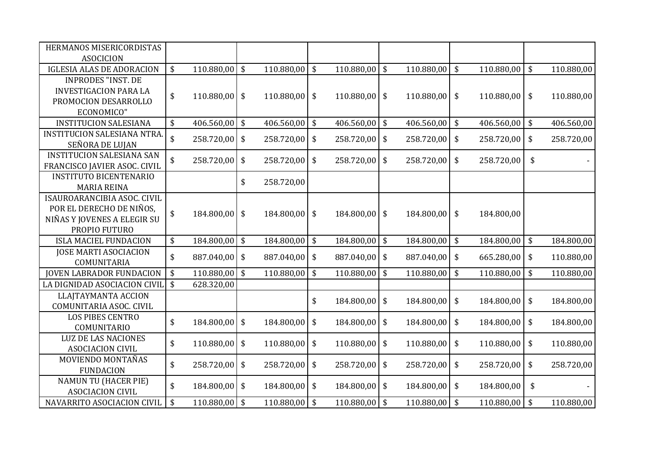| HERMANOS MISERICORDISTAS           |                                 |                 |                           |                 |                         |                 |                         |            |                            |            |                         |            |
|------------------------------------|---------------------------------|-----------------|---------------------------|-----------------|-------------------------|-----------------|-------------------------|------------|----------------------------|------------|-------------------------|------------|
| <b>ASOCICION</b>                   |                                 |                 |                           |                 |                         |                 |                         |            |                            |            |                         |            |
| <b>IGLESIA ALAS DE ADORACION</b>   | \$                              | 110.880,00      | $\boldsymbol{\mathsf{S}}$ | 110.880,00      | $\sqrt[6]{\frac{1}{2}}$ | 110.880,00 \$   |                         | 110.880,00 | \$                         | 110.880,00 | \$                      | 110.880,00 |
| <b>INPRODES "INST. DE</b>          |                                 |                 |                           |                 |                         |                 |                         |            |                            |            |                         |            |
| <b>INVESTIGACION PARA LA</b>       | \$                              | $110.880,00$ \$ |                           | $110.880,00$ \$ |                         | $110.880,00$ \$ |                         | 110.880,00 | \$                         | 110.880,00 | $\sqrt[6]{\frac{1}{2}}$ | 110.880,00 |
| PROMOCION DESARROLLO               |                                 |                 |                           |                 |                         |                 |                         |            |                            |            |                         |            |
| ECONOMICO"                         |                                 |                 |                           |                 |                         |                 |                         |            |                            |            |                         |            |
| <b>INSTITUCION SALESIANA</b>       | \$                              | 406.560,00      | $\sqrt{5}$                | 406.560,00      | $\sqrt[6]{\frac{1}{2}}$ | $406.560,00$ \$ |                         | 406.560,00 | $\boldsymbol{\mathsf{\$}}$ | 406.560,00 | $\frac{1}{2}$           | 406.560,00 |
| <b>INSTITUCION SALESIANA NTRA.</b> | $\boldsymbol{\hat{\mathsf{S}}}$ | 258.720,00      | $\sqrt[6]{\frac{1}{2}}$   | 258.720,00      | $\sqrt[6]{3}$           | 258.720,00 \$   |                         | 258.720,00 | \$                         | 258.720,00 | \$                      | 258.720,00 |
| SEÑORA DE LUJAN                    |                                 |                 |                           |                 |                         |                 |                         |            |                            |            |                         |            |
| <b>INSTITUCION SALESIANA SAN</b>   | \$                              | 258.720,00      | \$                        | 258.720,00      | \$                      | 258.720,00      | \$                      | 258.720,00 | \$                         | 258.720,00 | \$                      |            |
| FRANCISCO JAVIER ASOC. CIVIL       |                                 |                 |                           |                 |                         |                 |                         |            |                            |            |                         |            |
| <b>INSTITUTO BICENTENARIO</b>      |                                 |                 | \$                        | 258.720,00      |                         |                 |                         |            |                            |            |                         |            |
| <b>MARIA REINA</b>                 |                                 |                 |                           |                 |                         |                 |                         |            |                            |            |                         |            |
| ISAUROARANCIBIA ASOC. CIVIL        |                                 |                 |                           |                 |                         |                 |                         |            |                            |            |                         |            |
| POR EL DERECHO DE NIÑOS,           | \$                              | 184.800,00      | $\frac{1}{2}$             | 184.800,00 \$   |                         | 184.800,00 \$   |                         | 184.800,00 | \$                         | 184.800,00 |                         |            |
| NIÑAS Y JOVENES A ELEGIR SU        |                                 |                 |                           |                 |                         |                 |                         |            |                            |            |                         |            |
| PROPIO FUTURO                      |                                 |                 |                           |                 |                         |                 |                         |            |                            |            |                         |            |
| <b>ISLA MACIEL FUNDACION</b>       | \$                              | 184.800,00      | $\sqrt{5}$                | 184.800,00      | $\sqrt[6]{\frac{1}{2}}$ | 184.800,00 \$   |                         | 184.800,00 | $\boldsymbol{\mathsf{\$}}$ | 184.800,00 | $\frac{1}{2}$           | 184.800,00 |
| <b>JOSE MARTI ASOCIACION</b>       | \$                              | 887.040,00      | $\sqrt[6]{\frac{1}{2}}$   | 887.040,00      | $\sqrt[6]{3}$           | 887.040,00 \$   |                         | 887.040,00 | \$                         | 665.280,00 | \$                      | 110.880,00 |
| COMUNITARIA                        |                                 |                 |                           |                 |                         |                 |                         |            |                            |            |                         |            |
| <b>JOVEN LABRADOR FUNDACION</b>    | \$                              | 110.880,00      | \$                        | 110.880,00      | \$                      | 110.880,00      | $\sqrt[6]{\frac{1}{2}}$ | 110.880,00 | \$                         | 110.880,00 | \$                      | 110.880,00 |
| LA DIGNIDAD ASOCIACION CIVIL       | $\boldsymbol{\mathsf{\$}}$      | 628.320,00      |                           |                 |                         |                 |                         |            |                            |            |                         |            |
| <b>LLAJTAYMANTA ACCION</b>         |                                 |                 |                           |                 | \$                      |                 |                         |            |                            |            |                         |            |
| COMUNITARIA ASOC. CIVIL            |                                 |                 |                           |                 |                         | 184.800,00 \$   |                         | 184.800,00 | \$                         | 184.800,00 | \$                      | 184.800,00 |
| <b>LOS PIBES CENTRO</b>            | \$                              | 184.800,00      | \$                        | 184.800,00      | \$                      | 184.800,00      | \$                      | 184.800,00 | \$                         | 184.800,00 | \$                      | 184.800,00 |
| COMUNITARIO                        |                                 |                 |                           |                 |                         |                 |                         |            |                            |            |                         |            |
| <b>LUZ DE LAS NACIONES</b>         | \$                              | 110.880,00      | \$                        | 110.880,00      | \$                      | 110.880,00      | \$                      | 110.880,00 | \$                         | 110.880,00 | \$                      | 110.880,00 |
| <b>ASOCIACION CIVIL</b>            |                                 |                 |                           |                 |                         |                 |                         |            |                            |            |                         |            |
| MOVIENDO MONTAÑAS                  | \$                              | 258.720,00      | \$                        | 258.720,00      | \$                      | 258.720,00      | \$                      | 258.720,00 | \$                         | 258.720,00 | \$                      | 258.720,00 |
| <b>FUNDACION</b>                   |                                 |                 |                           |                 |                         |                 |                         |            |                            |            |                         |            |
| <b>NAMUN TU (HACER PIE)</b>        | \$                              | 184.800,00      | \$                        | 184.800,00      | $\frac{1}{2}$           | 184.800,00      | \$                      | 184.800,00 | \$                         | 184.800,00 | \$                      |            |
| <b>ASOCIACION CIVIL</b>            |                                 |                 |                           |                 |                         |                 |                         |            |                            |            |                         |            |
| NAVARRITO ASOCIACION CIVIL         | \$                              | 110.880,00      | $\sqrt{5}$                | 110.880,00      | $\sqrt[6]{\frac{1}{2}}$ | 110.880,00 \$   |                         | 110.880,00 | \$                         | 110.880,00 | \$                      | 110.880,00 |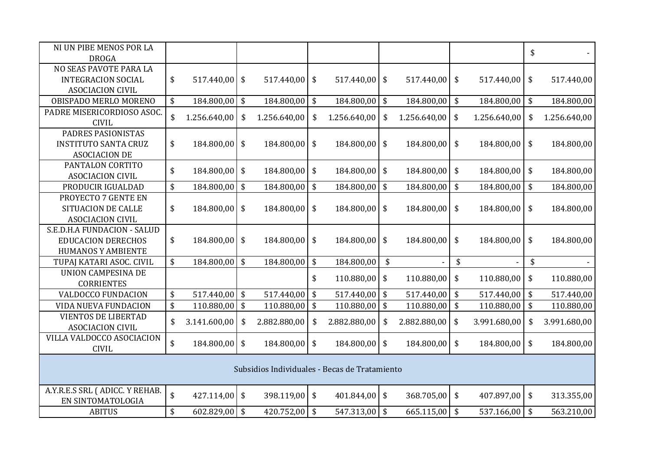| NI UN PIBE MENOS POR LA                             |                       |                           |                                               |                         |                 |                                 |              |                           |                 | \$                              |              |
|-----------------------------------------------------|-----------------------|---------------------------|-----------------------------------------------|-------------------------|-----------------|---------------------------------|--------------|---------------------------|-----------------|---------------------------------|--------------|
| <b>DROGA</b>                                        |                       |                           |                                               |                         |                 |                                 |              |                           |                 |                                 |              |
| NO SEAS PAVOTE PARA LA                              |                       |                           |                                               |                         |                 |                                 |              |                           |                 |                                 |              |
| <b>INTEGRACION SOCIAL</b>                           | \$<br>$517.440,00$ \$ |                           | 517.440,00                                    | $\sqrt[6]{}$            | $517.440,00$ \$ |                                 | 517.440,00   | \$                        | 517.440,00      | \$                              | 517.440,00   |
| <b>ASOCIACION CIVIL</b>                             |                       |                           |                                               |                         |                 |                                 |              |                           |                 |                                 |              |
| OBISPADO MERLO MORENO                               | \$<br>184.800,00 \$   |                           | 184.800,00                                    | \$                      | 184.800,00 \$   |                                 | 184.800,00   | \$                        | 184.800,00      | \$                              | 184.800,00   |
| PADRE MISERICORDIOSO ASOC.<br><b>CIVIL</b>          | \$<br>1.256.640,00    | \$                        | 1.256.640,00                                  | \$                      | 1.256.640,00    | \$                              | 1.256.640,00 | \$                        | 1.256.640,00    | \$                              | 1.256.640,00 |
| PADRES PASIONISTAS                                  |                       |                           |                                               |                         |                 |                                 |              |                           |                 |                                 |              |
| <b>INSTITUTO SANTA CRUZ</b>                         | \$<br>184.800,00      | \$                        | 184.800,00                                    | \$                      | 184.800,00 \$   |                                 | 184.800,00   | \$                        | 184.800,00      | \$                              | 184.800,00   |
| <b>ASOCIACION DE</b>                                |                       |                           |                                               |                         |                 |                                 |              |                           |                 |                                 |              |
| PANTALON CORTITO                                    | \$<br>184.800,00      | \$                        | 184.800,00                                    | $\vert$ \$              | 184.800,00 \$   |                                 | 184.800,00   | \$                        | 184.800,00      | \$                              | 184.800,00   |
| <b>ASOCIACION CIVIL</b>                             |                       |                           |                                               |                         |                 |                                 |              |                           |                 |                                 |              |
| PRODUCIR IGUALDAD                                   | \$<br>184.800,00 \$   |                           | 184.800,00                                    | $\sqrt[6]{\frac{1}{2}}$ | 184.800,00      | \$                              | 184.800,00   | $\boldsymbol{\mathsf{S}}$ | 184.800,00      | $\boldsymbol{\hat{\mathsf{S}}}$ | 184.800,00   |
| PROYECTO 7 GENTE EN                                 |                       |                           |                                               |                         |                 |                                 |              |                           |                 |                                 |              |
| <b>SITUACION DE CALLE</b>                           | \$<br>184.800,00      | \$                        | 184.800,00                                    | $\sqrt[6]{}$            | 184.800,00 \$   |                                 | 184.800,00   | \$                        | 184.800,00      | \$                              | 184.800,00   |
| <b>ASOCIACION CIVIL</b>                             |                       |                           |                                               |                         |                 |                                 |              |                           |                 |                                 |              |
| S.E.D.H.A FUNDACION - SALUD                         |                       |                           |                                               |                         |                 |                                 |              |                           |                 |                                 |              |
| <b>EDUCACION DERECHOS</b>                           | \$<br>184.800,00      | $\boldsymbol{\mathsf{s}}$ | 184.800,00                                    | \$                      | $184.800,00$ \$ |                                 | 184.800,00   | \$                        | 184.800,00      | \$                              | 184.800,00   |
| <b>HUMANOS Y AMBIENTE</b>                           |                       |                           |                                               |                         |                 |                                 |              |                           |                 |                                 |              |
| TUPAJ KATARI ASOC. CIVIL                            | \$<br>184.800,00 \$   |                           | 184.800,00                                    | \$                      | 184.800,00      | $\boldsymbol{\hat{\mathsf{S}}}$ |              | \$                        |                 | \$                              |              |
| UNION CAMPESINA DE                                  |                       |                           |                                               | \$                      | $110.880,00$ \$ |                                 | 110.880,00   |                           | 110.880,00      | \$                              | 110.880,00   |
| <b>CORRIENTES</b>                                   |                       |                           |                                               |                         |                 |                                 |              | \$                        |                 |                                 |              |
| VALDOCCO FUNDACION                                  | \$<br>$517.440,00$ \$ |                           | 517.440,00                                    | $\sqrt{2}$              | 517.440,00 \$   |                                 | 517.440,00   | \$                        | 517.440,00      | \$                              | 517.440,00   |
| VIDA NUEVA FUNDACION                                | \$<br>$110.880,00$ \$ |                           | 110.880,00                                    | $\sqrt[6]{\frac{1}{2}}$ | 110.880,00 \$   |                                 | 110.880,00   | \$                        | 110.880,00      | \$                              | 110.880,00   |
| <b>VIENTOS DE LIBERTAD</b>                          | \$<br>3.141.600,00    | \$                        | 2.882.880,00                                  | \$                      | 2.882.880,00    | \$                              | 2.882.880,00 | \$                        | 3.991.680,00    | \$                              | 3.991.680,00 |
| <b>ASOCIACION CIVIL</b>                             |                       |                           |                                               |                         |                 |                                 |              |                           |                 |                                 |              |
| VILLA VALDOCCO ASOCIACION                           | \$<br>184.800,00      | \$                        | 184.800,00                                    | \$                      | 184.800,00      | \$                              | 184.800,00   | \$                        | 184.800,00      | \$                              | 184.800,00   |
| <b>CIVIL</b>                                        |                       |                           |                                               |                         |                 |                                 |              |                           |                 |                                 |              |
|                                                     |                       |                           | Subsidios Individuales - Becas de Tratamiento |                         |                 |                                 |              |                           |                 |                                 |              |
| A.Y.R.E.S SRL (ADICC. Y REHAB.<br>EN SINTOMATOLOGIA | \$<br>427.114,00      | $\sqrt[6]{\frac{1}{2}}$   | 398.119,00                                    | $\sqrt[6]{\frac{1}{2}}$ | $401.844,00$ \$ |                                 | 368.705,00   | \$                        | 407.897,00      | \$                              | 313.355,00   |
| <b>ABITUS</b>                                       | \$<br>$602.829,00$ \$ |                           | 420.752,00 \$                                 |                         | $547.313,00$ \$ |                                 | 665.115,00   | $\sqrt{2}$                | $537.166,00$ \$ |                                 | 563.210,00   |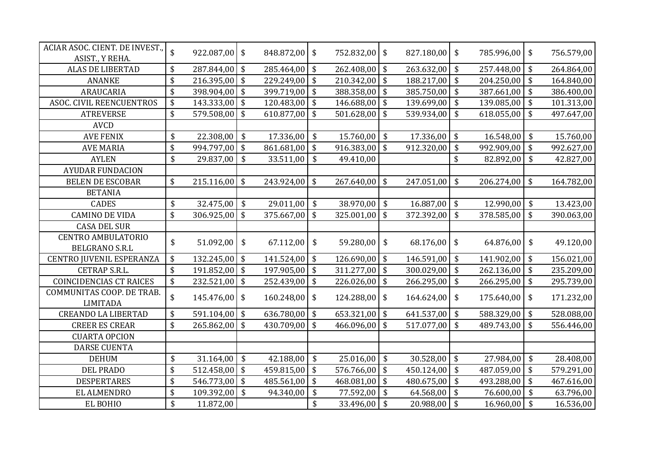| ACIAR ASOC. CIENT. DE INVEST.,<br>ASIST., Y REHA. | \$                              | 922.087,00    | $\frac{1}{2}$           | 848.872,00 | $\sqrt[6]{\frac{1}{2}}$ | 752.832,00 \$   |                         | 827.180,00 | \$                              | 785.996,00     | \$                              | 756.579,00 |
|---------------------------------------------------|---------------------------------|---------------|-------------------------|------------|-------------------------|-----------------|-------------------------|------------|---------------------------------|----------------|---------------------------------|------------|
| <b>ALAS DE LIBERTAD</b>                           | \$                              | 287.844,00    | $\sqrt{5}$              | 285.464,00 | $\sqrt[6]{3}$           | 262.408,00 \$   |                         | 263.632,00 | \$                              | 257.448,00     | \$                              | 264.864,00 |
| <b>ANANKE</b>                                     | \$                              | 216.395,00    | l \$                    | 229.249,00 | $\sqrt[6]{\frac{1}{2}}$ | $210.342,00$ \$ |                         | 188.217,00 | \$                              | 204.250,00     | \$                              | 164.840,00 |
| ARAUCARIA                                         | \$                              | 398.904,00    | $\vert$ \$              | 399.719,00 | $\sqrt[6]{\frac{1}{2}}$ | 388.358,00 \$   |                         | 385.750,00 | \$                              | 387.661,00     | \$                              | 386.400,00 |
| <b>ASOC. CIVIL REENCUENTROS</b>                   | \$                              | 143.333,00    | $\sqrt[6]{\frac{1}{2}}$ | 120.483,00 | \$                      | 146.688,00 \$   |                         | 139.699,00 | \$                              | 139.085,00     | \$                              | 101.313,00 |
| <b>ATREVERSE</b>                                  | \$                              | 579.508,00    | $\overline{\mathbf{S}}$ | 610.877,00 | \$                      | $501.628,00$ \$ |                         | 539.934,00 | \$                              | 618.055,00     | \$                              | 497.647,00 |
| <b>AVCD</b>                                       |                                 |               |                         |            |                         |                 |                         |            |                                 |                |                                 |            |
| <b>AVE FENIX</b>                                  | \$                              | 22.308,00     | \$                      | 17.336,00  | $\sqrt[6]{3}$           | 15.760,00       | \$                      | 17.336,00  | \$                              | 16.548,00      | \$                              | 15.760,00  |
| <b>AVE MARIA</b>                                  | \$                              | 994.797,00    | $\sqrt{5}$              | 861.681,00 | $\sqrt{2}$              | $916.383,00$ \$ |                         | 912.320,00 | \$                              | 992.909,00     | \$                              | 992.627,00 |
| <b>AYLEN</b>                                      | \$                              | 29.837,00     | $\sqrt[6]{\frac{1}{2}}$ | 33.511,00  | \$                      | 49.410,00       |                         |            | \$                              | 82.892,00      | \$                              | 42.827,00  |
| <b>AYUDAR FUNDACION</b>                           |                                 |               |                         |            |                         |                 |                         |            |                                 |                |                                 |            |
| <b>BELEN DE ESCOBAR</b>                           | \$                              | 215.116,00    | \$                      | 243.924,00 | $\sqrt[6]{3}$           | $267.640,00$ \$ |                         | 247.051,00 | \$                              | 206.274,00     | $\sqrt{2}$                      | 164.782,00 |
| <b>BETANIA</b>                                    |                                 |               |                         |            |                         |                 |                         |            |                                 |                |                                 |            |
| <b>CADES</b>                                      | \$                              | 32.475,00     | $\mathfrak{s}$          | 29.011,00  | $\sqrt[6]{\frac{1}{2}}$ | 38.970,00 \$    |                         | 16.887,00  | \$                              | 12.990,00      | $\sqrt[6]{\frac{1}{2}}$         | 13.423,00  |
| <b>CAMINO DE VIDA</b>                             | \$                              | 306.925,00    | $\sqrt[6]{\frac{1}{2}}$ | 375.667,00 | \$                      | $325.001,00$ \$ |                         | 372.392,00 | \$                              | 378.585,00     | \$                              | 390.063,00 |
| <b>CASA DEL SUR</b>                               |                                 |               |                         |            |                         |                 |                         |            |                                 |                |                                 |            |
| <b>CENTRO AMBULATORIO</b>                         | \$                              | 51.092,00     | $\frac{1}{2}$           | 67.112,00  | $\sqrt{5}$              | $59.280,00$ \$  |                         | 68.176,00  | \$                              | $64.876,00$ \$ |                                 | 49.120,00  |
| BELGRANO S.R.L                                    |                                 |               |                         |            |                         |                 |                         |            |                                 |                |                                 |            |
| CENTRO JUVENIL ESPERANZA                          | \$                              | 132.245,00    | $\vert$ \$              | 141.524,00 | $\sqrt[6]{\frac{1}{2}}$ | $126.690,00$ \$ |                         | 146.591,00 | \$                              | 141.902,00     | \$                              | 156.021,00 |
| CETRAP S.R.L.                                     | $\boldsymbol{\hat{\mathsf{S}}}$ | 191.852,00    | $\sqrt{5}$              | 197.905,00 | $\sqrt{2}$              | $311.277,00$ \$ |                         | 300.029,00 | $\boldsymbol{\mathsf{S}}$       | 262.136,00     | $\sqrt$                         | 235.209,00 |
| <b>COINCIDENCIAS CT RAICES</b>                    | \$                              | 232.521,00    | $\sqrt{5}$              | 252.439,00 | \$                      | $226.026,00$ \$ |                         | 266.295,00 | \$                              | 266.295,00     | \$                              | 295.739,00 |
| COMMUNITAS COOP. DE TRAB.<br><b>LIMITADA</b>      | \$                              | 145.476,00 \$ |                         | 160.248,00 | \$                      | 124.288,00 \$   |                         | 164.624,00 | \$                              | 175.640,00     | \$                              | 171.232,00 |
| <b>CREANDO LA LIBERTAD</b>                        | \$                              | 591.104,00    | $\vert$ \$              | 636.780,00 | \$                      | $653.321,00$ \$ |                         | 641.537,00 | \$                              | 588.329,00     | \$                              | 528.088,00 |
| <b>CREER ES CREAR</b>                             | \$                              | 265.862,00    | \$                      | 430.709,00 | \$                      | 466.096,00      | \$                      | 517.077,00 | \$                              | 489.743,00     | \$                              | 556.446,00 |
| <b>CUARTA OPCION</b>                              |                                 |               |                         |            |                         |                 |                         |            |                                 |                |                                 |            |
| <b>DARSE CUENTA</b>                               |                                 |               |                         |            |                         |                 |                         |            |                                 |                |                                 |            |
| <b>DEHUM</b>                                      | \$                              | 31.164,00     | $\sqrt[6]{\frac{1}{2}}$ | 42.188,00  | $\sqrt[6]{\frac{1}{2}}$ | 25.016,00       | $\sqrt{5}$              | 30.528,00  | \$                              | 27.984,00      | \$                              | 28.408,00  |
| <b>DEL PRADO</b>                                  | \$                              | 512.458,00    | $\sqrt{5}$              | 459.815,00 | $\sqrt[6]{\frac{1}{2}}$ | 576.766,00 \$   |                         | 450.124,00 | \$                              | 487.059,00     | $\frac{1}{2}$                   | 579.291,00 |
| <b>DESPERTARES</b>                                | \$                              | 546.773,00    | $\vert$ \$              | 485.561,00 | $\sqrt[6]{\frac{1}{2}}$ | 468.081,00 \$   |                         | 480.675,00 | $\boldsymbol{\hat{\mathsf{S}}}$ | 493.288,00     | $\boldsymbol{\hat{\mathsf{S}}}$ | 467.616,00 |
| EL ALMENDRO                                       | \$                              | 109.392,00 \$ |                         | 94.340,00  | \$                      | 77.592,00 \$    |                         | 64.568,00  | \$                              | 76.600,00      | \$                              | 63.796,00  |
| EL BOHIO                                          | \$                              | 11.872,00     |                         |            | \$                      | 33.496,00       | $\sqrt[6]{\frac{1}{2}}$ | 20.988,00  | $\boldsymbol{\$}$               | 16.960,00      | $\sqrt{2}$                      | 16.536,00  |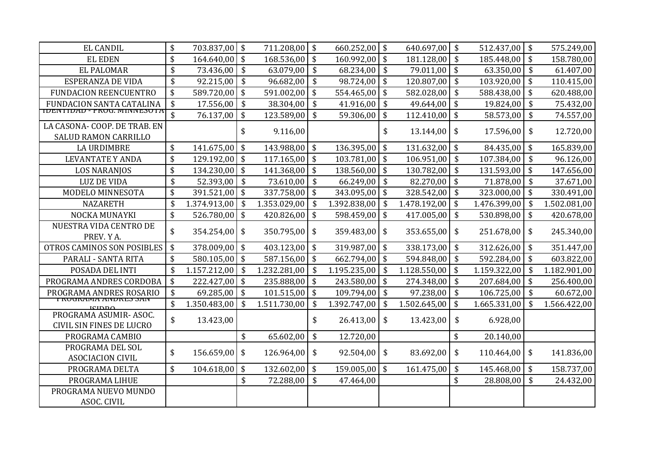| <b>EL CANDIL</b>                                            | \$<br>703.837,00    | l \$                       | 711.208,00   | \$<br>$660.252,00$ \$   |            | 640.697,00   | \$                        | 512.437,00   | $\sqrt[6]{\frac{1}{2}}$         | 575.249,00   |
|-------------------------------------------------------------|---------------------|----------------------------|--------------|-------------------------|------------|--------------|---------------------------|--------------|---------------------------------|--------------|
| <b>EL EDEN</b>                                              | \$<br>164.640,00    | $\sqrt{5}$                 | 168.536,00   | \$<br>160.992,00 \$     |            | 181.128,00   | \$                        | 185.448,00   | \$                              | 158.780,00   |
| <b>EL PALOMAR</b>                                           | \$<br>73.436,00     | $\boldsymbol{\mathsf{\$}}$ | 63.079,00    | \$<br>68.234,00         | \$         | 79.011,00    | \$                        | 63.350,00    | \$                              | 61.407,00    |
| ESPERANZA DE VIDA                                           | \$<br>92.215,00     | $\sqrt{5}$                 | 96.682,00    | \$<br>98.724,00         | \$         | 120.807,00   | \$                        | 103.920,00   | \$                              | 110.415,00   |
| <b>FUNDACION REENCUENTRO</b>                                | \$<br>589.720,00    | $\sqrt{5}$                 | 591.002,00   | \$<br>554.465,00        | $\vert$ \$ | 582.028,00   | \$                        | 588.438,00   | \$                              | 620.488,00   |
| FUNDACION SANTA CATALINA                                    | \$<br>17.556,00     | $\sqrt{5}$                 | 38.304,00    | \$<br>$41.916,00$ \$    |            | 49.644,00    | \$                        | 19.824,00    | \$                              | 75.432,00    |
| <b>IDENTIDAD - PROG. MINNESOTA</b>                          | \$<br>76.137,00     | $\sqrt[6]{\frac{1}{2}}$    | 123.589,00   | \$<br>59.306,00         | \$         | 112.410,00   | \$                        | 58.573,00    | \$                              | 74.557,00    |
| LA CASONA- COOP. DE TRAB. EN<br><b>SALUD RAMON CARRILLO</b> |                     | \$                         | 9.116,00     |                         | \$         | 13.144,00    | \$                        | 17.596,00    | \$                              | 12.720,00    |
| <b>LA URDIMBRE</b>                                          | \$<br>141.675,00    | \$                         | 143.988,00   | \$<br>136.395,00        | \$         | 131.632,00   | \$                        | 84.435,00    | \$                              | 165.839,00   |
| <b>LEVANTATE Y ANDA</b>                                     | \$<br>129.192,00    | $\sqrt[6]{\frac{1}{2}}$    | 117.165,00   | \$<br>$103.781,00$ \$   |            | 106.951,00   | \$                        | 107.384,00   | \$                              | 96.126,00    |
| <b>LOS NARANJOS</b>                                         | \$<br>134.230,00    | $\sqrt{5}$                 | 141.368,00   | \$<br>$138.560,00$ \$   |            | 130.782,00   | \$                        | 131.593,00   | $\boldsymbol{\mathsf{S}}$       | 147.656,00   |
| <b>LUZ DE VIDA</b>                                          | \$<br>52.393,00     | $\sqrt{5}$                 | 73.610,00    | \$<br>66.249,00         | l \$       | 82.270,00    | \$                        | 71.878,00    | \$                              | 37.671,00    |
| MODELO MINNESOTA                                            | \$<br>391.521,00    | $\sqrt[6]{\frac{1}{2}}$    | 337.758,00   | \$<br>$343.095,00$ \$   |            | 328.542,00   | \$                        | 323.000,00   | \$                              | 330.491,00   |
| <b>NAZARETH</b>                                             | \$<br>1.374.913,00  | \$                         | 1.353.029,00 | \$<br>1.392.838,00      | \$         | 1.478.192,00 | \$                        | 1.476.399,00 | \$                              | 1.502.081,00 |
| NOCKA MUNAYKI                                               | \$<br>526.780,00    | $\sqrt[6]{\frac{1}{2}}$    | 420.826,00   | \$<br>598.459,00        | $\vert$ \$ | 417.005,00   | $\boldsymbol{\mathsf{S}}$ | 530.898,00   | $\boldsymbol{\hat{\mathsf{S}}}$ | 420.678,00   |
| NUESTRA VIDA CENTRO DE<br>PREV. Y A.                        | \$<br>354.254,00    | \$                         | 350.795,00   | \$<br>359.483,00        | \$         | 353.655,00   | \$                        | 251.678,00   | \$                              | 245.340,00   |
| OTROS CAMINOS SON POSIBLES                                  | \$<br>378.009,00    | $\mathfrak{S}$             | 403.123,00   | \$<br>319.987,00        | \$         | 338.173,00   | \$                        | 312.626,00   | \$                              | 351.447,00   |
| PARALI - SANTA RITA                                         | \$<br>580.105,00    | \$                         | 587.156,00   | \$<br>$662.794,00$ \$   |            | 594.848,00   | \$                        | 592.284,00   | \$                              | 603.822,00   |
| POSADA DEL INTI                                             | \$<br>1.157.212,00  | $\sqrt{5}$                 | 1.232.281,00 | \$<br>$1.195.235,00$ \$ |            | 1.128.550,00 | \$                        | 1.159.322,00 | \$                              | 1.182.901,00 |
| PROGRAMA ANDRES CORDOBA                                     | \$<br>222.427,00 \$ |                            | 235.888,00   | \$<br>$243.580,00$ \$   |            | 274.348,00   | \$                        | 207.684,00   | \$                              | 256.400,00   |
| PROGRAMA ANDRES ROSARIO                                     | \$<br>69.285,00     | $\sqrt[6]{\frac{1}{2}}$    | 101.515,00   | \$<br>109.794,00 \$     |            | 97.238,00    | \$                        | 106.725,00   | \$                              | 60.672,00    |
| <u>FNUUNAMIA AINDNES SAIN</u><br>بمممتنه                    | \$<br>1.350.483,00  | \$                         | 1.511.730,00 | \$<br>1.392.747,00      | \$         | 1.502.645,00 | \$                        | 1.665.331,00 | \$                              | 1.566.422,00 |
| PROGRAMA ASUMIR-ASOC.<br><b>CIVIL SIN FINES DE LUCRO</b>    | \$<br>13.423,00     |                            |              | \$<br>26.413,00         | \$         | 13.423,00    | \$                        | 6.928,00     |                                 |              |
| PROGRAMA CAMBIO                                             |                     | \$                         | 65.602,00    | \$<br>12.720,00         |            |              | \$                        | 20.140,00    |                                 |              |
| PROGRAMA DEL SOL<br><b>ASOCIACION CIVIL</b>                 | \$<br>156.659,00    | \$                         | 126.964,00   | \$<br>92.504,00         | \$         | 83.692,00    | \$                        | 110.464,00   | \$                              | 141.836,00   |
| PROGRAMA DELTA                                              | \$<br>104.618,00    | \$                         | 132.602,00   | \$<br>$159.005,00$ \$   |            | 161.475,00   | \$                        | 145.468,00   | \$                              | 158.737,00   |
| PROGRAMA LIHUE                                              |                     | \$                         | 72.288,00    | \$<br>47.464,00         |            |              | \$                        | 28.808,00    | \$                              | 24.432,00    |
| PROGRAMA NUEVO MUNDO<br>ASOC. CIVIL                         |                     |                            |              |                         |            |              |                           |              |                                 |              |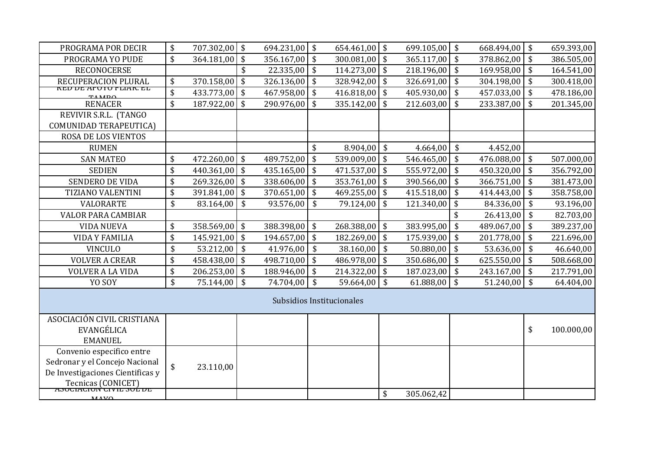| PROGRAMA POR DECIR                                                                                                                               | \$                              | 707.302,00 \$   |            | 694.231,00 \$ |                                 | 654.461,00 \$             | 699.105,00 \$    |                         | 668.494,00 | $\sqrt{5}$                      | 659.393,00 |
|--------------------------------------------------------------------------------------------------------------------------------------------------|---------------------------------|-----------------|------------|---------------|---------------------------------|---------------------------|------------------|-------------------------|------------|---------------------------------|------------|
| PROGRAMA YO PUDE                                                                                                                                 | \$                              | $364.181,00$ \$ |            | 356.167,00    | \$                              | $300.081,00$ \$           | 365.117,00       | \$                      | 378.862,00 | \$                              | 386.505,00 |
| <b>RECONOCERSE</b>                                                                                                                               |                                 |                 | \$         | 22.335,00     | \$                              | $114.273,00$ \$           | 218.196,00       | \$                      | 169.958,00 | \$                              | 164.541,00 |
| RECUPERACION PLURAL                                                                                                                              | \$                              | $370.158,00$ \$ |            | 326.136,00    | \$                              | 328.942,00 \$             | 326.691,00       | \$                      | 304.198,00 | \$                              | 300.418,00 |
| <u>NEV VE AFUTU FLIAN. EL</u><br><b>TAMDO</b>                                                                                                    | \$                              | 433.773,00 \$   |            | 467.958,00    | \$                              | $416.818,00$ \$           | 405.930,00       | \$                      | 457.033,00 | $\frac{1}{2}$                   | 478.186,00 |
| <b>RENACER</b>                                                                                                                                   | $\boldsymbol{\hat{\mathsf{S}}}$ | 187.922,00 \$   |            | 290.976,00    | \$                              | $335.142,00$ \$           | 212.603,00       | \$                      | 233.387,00 | \$                              | 201.345,00 |
| REVIVIR S.R.L. (TANGO                                                                                                                            |                                 |                 |            |               |                                 |                           |                  |                         |            |                                 |            |
| COMUNIDAD TERAPEUTICA)                                                                                                                           |                                 |                 |            |               |                                 |                           |                  |                         |            |                                 |            |
| ROSA DE LOS VIENTOS                                                                                                                              |                                 |                 |            |               |                                 |                           |                  |                         |            |                                 |            |
| <b>RUMEN</b>                                                                                                                                     |                                 |                 |            |               | \$                              | 8.904,00 \$               | 4.664,00         | \$                      | 4.452,00   |                                 |            |
| <b>SAN MATEO</b>                                                                                                                                 | \$                              | 472.260,00 \$   |            | 489.752,00    | \$                              | $539.009,00$ \$           | 546.465,00       | \$                      | 476.088,00 | \$                              | 507.000,00 |
| <b>SEDIEN</b>                                                                                                                                    | \$                              | $440.361,00$ \$ |            | 435.165,00    | \$                              | $471.537,00$ \$           | 555.972,00       | \$                      | 450.320,00 | $\frac{1}{2}$                   | 356.792,00 |
| SENDERO DE VIDA                                                                                                                                  | \$                              | 269.326,00 \$   |            | 338.606,00    | $\boldsymbol{\mathsf{S}}$       | $353.761,00$ \$           | 390.566,00       | \$                      | 366.751,00 | $\boldsymbol{\hat{\mathsf{S}}}$ | 381.473,00 |
| <b>TIZIANO VALENTINI</b>                                                                                                                         | \$                              | $391.841,00$ \$ |            | 370.651,00    | \$                              | $469.255,00$ \$           | 415.518,00       | \$                      | 414.443,00 | \$                              | 358.758,00 |
| VALORARTE                                                                                                                                        | \$                              | 83.164,00       | $\sqrt{5}$ | 93.576,00     | \$                              | 79.124,00                 | \$<br>121.340,00 | \$                      | 84.336,00  | \$                              | 93.196,00  |
| <b>VALOR PARA CAMBIAR</b>                                                                                                                        |                                 |                 |            |               |                                 |                           |                  | \$                      | 26.413,00  | \$                              | 82.703,00  |
| <b>VIDA NUEVA</b>                                                                                                                                | \$                              | 358.569,00 \$   |            | 388.398,00    | $\sqrt[6]{\frac{1}{2}}$         | 268.388,00 \$             | 383.995,00       | \$                      | 489.067,00 | \$                              | 389.237,00 |
| <b>VIDA Y FAMILIA</b>                                                                                                                            | \$                              | $145.921,00$ \$ |            | 194.657,00    | \$                              | $182.269,00$ \$           | 175.939,00       | \$                      | 201.778,00 | \$                              | 221.696,00 |
| <b>VINCULO</b>                                                                                                                                   | \$                              | 53.212,00 \$    |            | 41.976,00     | $\boldsymbol{\hat{\mathsf{S}}}$ | $38.160,00$ \$            | 50.880,00        | $\sqrt[6]{\frac{1}{2}}$ | 53.636,00  | $\boldsymbol{\mathsf{\$}}$      | 46.640,00  |
| <b>VOLVER A CREAR</b>                                                                                                                            | \$                              | 458.438,00 \$   |            | 498.710,00    | $\sqrt{5}$                      | 486.978,00 \$             | 350.686,00       | \$                      | 625.550,00 | \$                              | 508.668,00 |
| <b>VOLVER A LA VIDA</b>                                                                                                                          | \$                              | $206.253,00$ \$ |            | 188.946,00    | $\sqrt[6]{\frac{1}{2}}$         | $214.322,00$ \$           | 187.023,00       | \$                      | 243.167,00 | $\sqrt$                         | 217.791,00 |
| YO SOY                                                                                                                                           | \$                              | 75.144,00       | $\sqrt{5}$ | 74.704,00     | \$                              | 59.664,00                 | \$<br>61.888,00  | \$                      | 51.240,00  | \$                              | 64.404,00  |
|                                                                                                                                                  |                                 |                 |            |               |                                 | Subsidios Institucionales |                  |                         |            |                                 |            |
| ASOCIACIÓN CIVIL CRISTIANA<br>EVANGÉLICA<br><b>EMANUEL</b>                                                                                       |                                 |                 |            |               |                                 |                           |                  |                         |            | \$                              | 100.000,00 |
| Convenio especifico entre<br>Sedronar y el Concejo Nacional<br>De Investigaciones Cientificas y<br>Tecnicas (CONICET)<br>ASOCIACION CIVIL SOL DE | \$                              | 23.110,00       |            |               |                                 |                           |                  |                         |            |                                 |            |
| MAVO                                                                                                                                             |                                 |                 |            |               |                                 |                           | \$<br>305.062,42 |                         |            |                                 |            |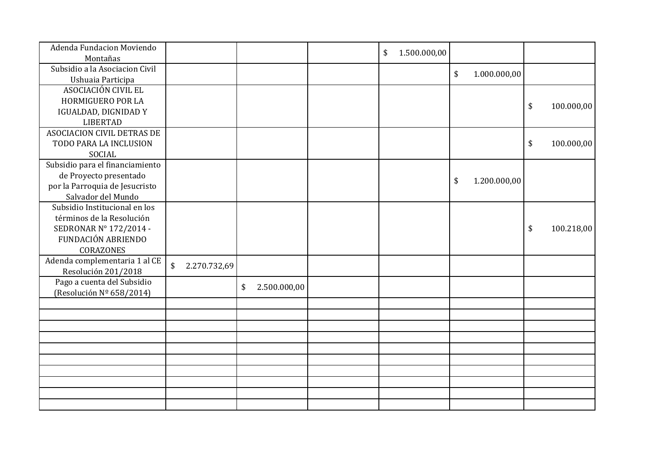| Adenda Fundacion Moviendo<br>Montañas                |                    |                    | 1.500.000,00<br>\$ |                    |                  |
|------------------------------------------------------|--------------------|--------------------|--------------------|--------------------|------------------|
| Subsidio a la Asociacion Civil                       |                    |                    |                    |                    |                  |
| Ushuaia Participa                                    |                    |                    |                    | \$<br>1.000.000,00 |                  |
| ASOCIACIÓN CIVIL EL                                  |                    |                    |                    |                    |                  |
| HORMIGUERO POR LA                                    |                    |                    |                    |                    | \$<br>100.000,00 |
| IGUALDAD, DIGNIDAD Y                                 |                    |                    |                    |                    |                  |
| <b>LIBERTAD</b>                                      |                    |                    |                    |                    |                  |
| ASOCIACION CIVIL DETRAS DE                           |                    |                    |                    |                    |                  |
| TODO PARA LA INCLUSION                               |                    |                    |                    |                    | \$<br>100.000,00 |
| SOCIAL                                               |                    |                    |                    |                    |                  |
| Subsidio para el financiamiento                      |                    |                    |                    |                    |                  |
| de Proyecto presentado                               |                    |                    |                    | \$<br>1.200.000,00 |                  |
| por la Parroquia de Jesucristo                       |                    |                    |                    |                    |                  |
| Salvador del Mundo                                   |                    |                    |                    |                    |                  |
| Subsidio Institucional en los                        |                    |                    |                    |                    |                  |
| términos de la Resolución                            |                    |                    |                    |                    |                  |
| SEDRONAR N° 172/2014 -                               |                    |                    |                    |                    | \$<br>100.218,00 |
| <b>FUNDACIÓN ABRIENDO</b>                            |                    |                    |                    |                    |                  |
| CORAZONES                                            |                    |                    |                    |                    |                  |
| Adenda complementaria 1 al CE<br>Resolución 201/2018 | \$<br>2.270.732,69 |                    |                    |                    |                  |
| Pago a cuenta del Subsidio                           |                    | \$<br>2.500.000,00 |                    |                    |                  |
| (Resolución Nº 658/2014)                             |                    |                    |                    |                    |                  |
|                                                      |                    |                    |                    |                    |                  |
|                                                      |                    |                    |                    |                    |                  |
|                                                      |                    |                    |                    |                    |                  |
|                                                      |                    |                    |                    |                    |                  |
|                                                      |                    |                    |                    |                    |                  |
|                                                      |                    |                    |                    |                    |                  |
|                                                      |                    |                    |                    |                    |                  |
|                                                      |                    |                    |                    |                    |                  |
|                                                      |                    |                    |                    |                    |                  |
|                                                      |                    |                    |                    |                    |                  |